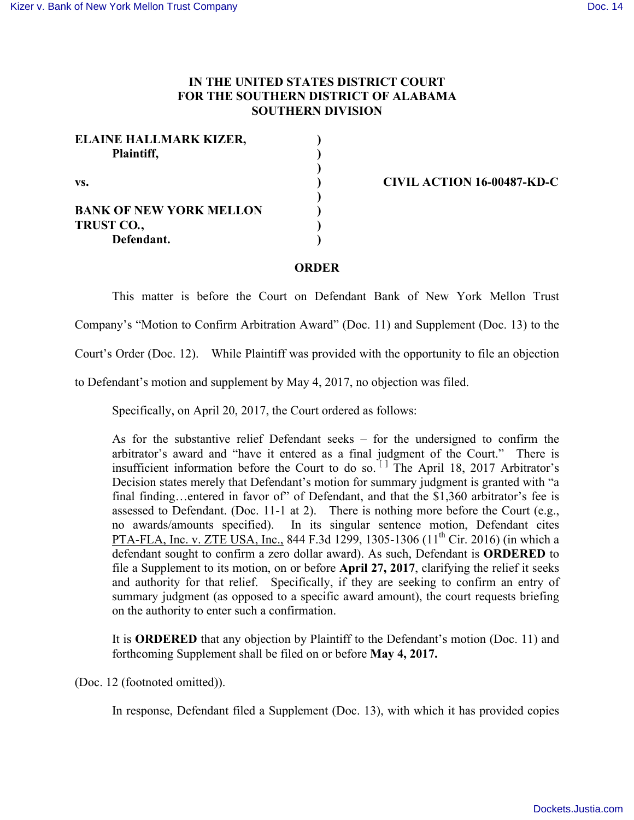## **IN THE UNITED STATES DISTRICT COURT FOR THE SOUTHERN DISTRICT OF ALABAMA SOUTHERN DIVISION**

| <b>ELAINE HALLMARK KIZER,</b><br>Plaintiff,                       |  |
|-------------------------------------------------------------------|--|
| VS.                                                               |  |
| <b>BANK OF NEW YORK MELLON</b><br><b>TRUST CO.,</b><br>Defendant. |  |

**vs. ) CIVIL ACTION 16-00487-KD-C**

## **ORDER**

This matter is before the Court on Defendant Bank of New York Mellon Trust

Company's "Motion to Confirm Arbitration Award" (Doc. 11) and Supplement (Doc. 13) to the

Court's Order (Doc. 12). While Plaintiff was provided with the opportunity to file an objection

to Defendant's motion and supplement by May 4, 2017, no objection was filed.

Specifically, on April 20, 2017, the Court ordered as follows:

As for the substantive relief Defendant seeks – for the undersigned to confirm the arbitrator's award and "have it entered as a final judgment of the Court." There is insufficient information before the Court to do so.  $[1]$  The April 18, 2017 Arbitrator's Decision states merely that Defendant's motion for summary judgment is granted with "a final finding…entered in favor of" of Defendant, and that the \$1,360 arbitrator's fee is assessed to Defendant. (Doc. 11-1 at 2). There is nothing more before the Court (e.g., no awards/amounts specified). In its singular sentence motion, Defendant cites PTA-FLA, Inc. v. ZTE USA, Inc., 844 F.3d 1299, 1305-1306 (11<sup>th</sup> Cir. 2016) (in which a defendant sought to confirm a zero dollar award). As such, Defendant is **ORDERED** to file a Supplement to its motion, on or before **April 27, 2017**, clarifying the relief it seeks and authority for that relief. Specifically, if they are seeking to confirm an entry of summary judgment (as opposed to a specific award amount), the court requests briefing on the authority to enter such a confirmation.

It is **ORDERED** that any objection by Plaintiff to the Defendant's motion (Doc. 11) and forthcoming Supplement shall be filed on or before **May 4, 2017.**

(Doc. 12 (footnoted omitted)).

In response, Defendant filed a Supplement (Doc. 13), with which it has provided copies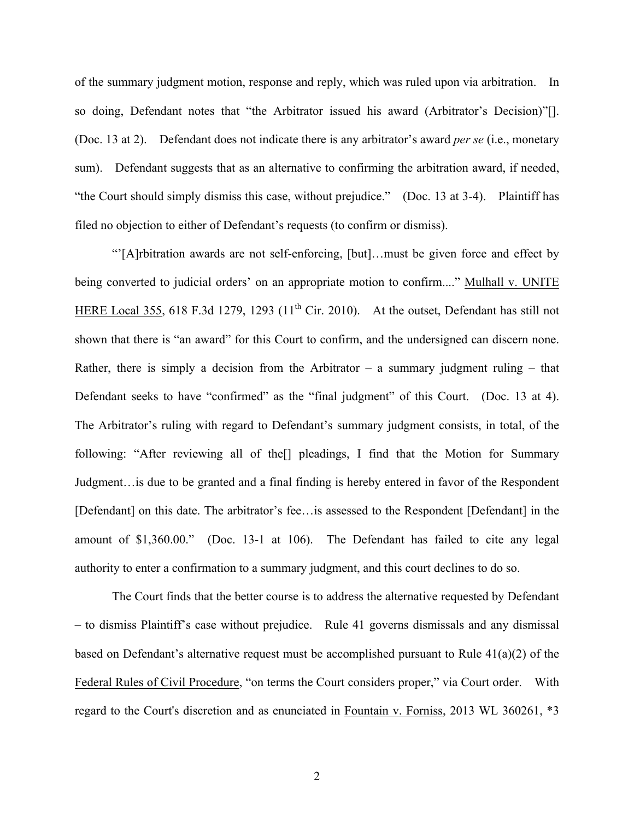of the summary judgment motion, response and reply, which was ruled upon via arbitration. In so doing, Defendant notes that "the Arbitrator issued his award (Arbitrator's Decision)"[]. (Doc. 13 at 2). Defendant does not indicate there is any arbitrator's award *per se* (i.e., monetary sum). Defendant suggests that as an alternative to confirming the arbitration award, if needed, "the Court should simply dismiss this case, without prejudice." (Doc. 13 at 3-4). Plaintiff has filed no objection to either of Defendant's requests (to confirm or dismiss).

"'[A]rbitration awards are not self-enforcing, [but]…must be given force and effect by being converted to judicial orders' on an appropriate motion to confirm...." Mulhall v. UNITE HERE Local 355, 618 F.3d 1279, 1293  $(11<sup>th</sup>$  Cir. 2010). At the outset, Defendant has still not shown that there is "an award" for this Court to confirm, and the undersigned can discern none. Rather, there is simply a decision from the Arbitrator – a summary judgment ruling – that Defendant seeks to have "confirmed" as the "final judgment" of this Court. (Doc. 13 at 4). The Arbitrator's ruling with regard to Defendant's summary judgment consists, in total, of the following: "After reviewing all of the<sup>[]</sup> pleadings, I find that the Motion for Summary Judgment…is due to be granted and a final finding is hereby entered in favor of the Respondent [Defendant] on this date. The arbitrator's fee…is assessed to the Respondent [Defendant] in the amount of \$1,360.00." (Doc. 13-1 at 106). The Defendant has failed to cite any legal authority to enter a confirmation to a summary judgment, and this court declines to do so.

The Court finds that the better course is to address the alternative requested by Defendant – to dismiss Plaintiff's case without prejudice. Rule 41 governs dismissals and any dismissal based on Defendant's alternative request must be accomplished pursuant to Rule 41(a)(2) of the Federal Rules of Civil Procedure, "on terms the Court considers proper," via Court order. With regard to the Court's discretion and as enunciated in Fountain v. Forniss, 2013 WL 360261, \*3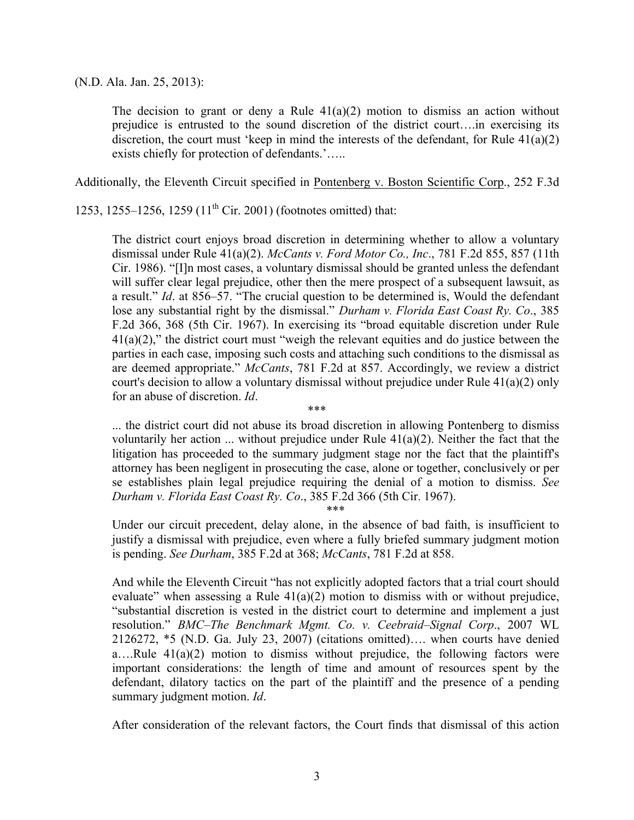(N.D. Ala. Jan. 25, 2013):

The decision to grant or deny a Rule  $41(a)(2)$  motion to dismiss an action without prejudice is entrusted to the sound discretion of the district court….in exercising its discretion, the court must 'keep in mind the interests of the defendant, for Rule 41(a)(2) exists chiefly for protection of defendants.'…..

Additionally, the Eleventh Circuit specified in Pontenberg v. Boston Scientific Corp., 252 F.3d

1253, 1255–1256, 1259 (11<sup>th</sup> Cir. 2001) (footnotes omitted) that:

The district court enjoys broad discretion in determining whether to allow a voluntary dismissal under Rule 41(a)(2). *McCants v. Ford Motor Co., Inc*., 781 F.2d 855, 857 (11th Cir. 1986). "[I]n most cases, a voluntary dismissal should be granted unless the defendant will suffer clear legal prejudice, other then the mere prospect of a subsequent lawsuit, as a result." *Id*. at 856–57. "The crucial question to be determined is, Would the defendant lose any substantial right by the dismissal." *Durham v. Florida East Coast Ry. Co*., 385 F.2d 366, 368 (5th Cir. 1967). In exercising its "broad equitable discretion under Rule  $41(a)(2)$ ," the district court must "weigh the relevant equities and do justice between the parties in each case, imposing such costs and attaching such conditions to the dismissal as are deemed appropriate." *McCants*, 781 F.2d at 857. Accordingly, we review a district court's decision to allow a voluntary dismissal without prejudice under Rule 41(a)(2) only for an abuse of discretion. *Id*.

\*\*\* ... the district court did not abuse its broad discretion in allowing Pontenberg to dismiss voluntarily her action ... without prejudice under Rule 41(a)(2). Neither the fact that the litigation has proceeded to the summary judgment stage nor the fact that the plaintiff's attorney has been negligent in prosecuting the case, alone or together, conclusively or per se establishes plain legal prejudice requiring the denial of a motion to dismiss. *See Durham v. Florida East Coast Ry. Co*., 385 F.2d 366 (5th Cir. 1967).

\*\*\*

Under our circuit precedent, delay alone, in the absence of bad faith, is insufficient to justify a dismissal with prejudice, even where a fully briefed summary judgment motion is pending. *See Durham*, 385 F.2d at 368; *McCants*, 781 F.2d at 858.

And while the Eleventh Circuit "has not explicitly adopted factors that a trial court should evaluate" when assessing a Rule  $41(a)(2)$  motion to dismiss with or without prejudice, "substantial discretion is vested in the district court to determine and implement a just resolution." *BMC–The Benchmark Mgmt. Co. v. Ceebraid–Signal Corp*., 2007 WL 2126272, \*5 (N.D. Ga. July 23, 2007) (citations omitted)…. when courts have denied a….Rule 41(a)(2) motion to dismiss without prejudice, the following factors were important considerations: the length of time and amount of resources spent by the defendant, dilatory tactics on the part of the plaintiff and the presence of a pending summary judgment motion. *Id*.

After consideration of the relevant factors, the Court finds that dismissal of this action